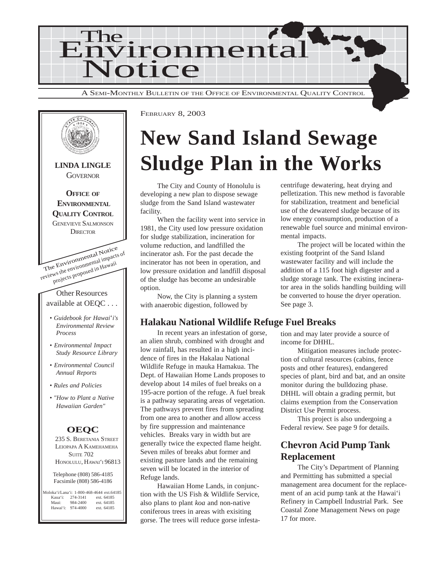

The Environmental Notice reviews the environmental impacts of projects proposed in Hawaii Other Resources available at OEQC . . . *• Guidebook for Hawai*'*i's Environmental Review Process • Environmental Impact Study Resource Library • Environmental Council Annual Reports • Rules and Policies • "How to Plant a Native Hawaiian Garden"* **LINDA LINGLE GOVERNOR OFFICE OF ENVIRONMENTAL QUALITY CONTROL** GENEVIEVE SALMONSON **DIRECTOR OEQC** 235 S. BERETANIA STREET LEIOPAPA A KAMEHAMEHA **SUITE 702** HONOLULU, HAWAI'I 96813 Telephone (808) 586-4185 Facsimile (808) 586-4186 Moloka'i/Lana'i: 1-800-468-4644 ext.64185 Kaua'i: 274-3141 ext. 64185<br>Maui: 984-2400 ext. 64185 ext. 64185<br>ext. 64185 Hawai'i: 974-4000

FEBRUARY 8, 2003

## **New Sand Island Sewage Sludge Plan in the Works**

The City and County of Honolulu is developing a new plan to dispose sewage sludge from the Sand Island wastewater facility.

When the facility went into service in 1981, the City used low pressure oxidation for sludge stabilization, incineration for volume reduction, and landfilled the incinerator ash. For the past decade the incinerator has not been in operation, and low pressure oxidation and landfill disposal of the sludge has become an undesirable option.

Now, the City is planning a system with anaerobic digestion, followed by

## **Halakau National Wildlife Refuge Fuel Breaks**

In recent years an infestation of gorse, an alien shrub, combined with drought and low rainfall, has resulted in a high incidence of fires in the Hakalau National Wildlife Refuge in mauka Hamakua. The Dept. of Hawaiian Home Lands proposes to develop about 14 miles of fuel breaks on a 195-acre portion of the refuge. A fuel break is a pathway separating areas of vegetation. The pathways prevent fires from spreading from one area to another and allow access by fire suppression and maintenance vehicles. Breaks vary in width but are generally twice the expected flame height. Seven miles of breaks abut former and existing pasture lands and the remaining seven will be located in the interior of Refuge lands.

Hawaiian Home Lands, in conjunction with the US Fish & Wildlife Service, also plans to plant *koa* and non-native coniferous trees in areas with exisiting gorse. The trees will reduce gorse infestacentrifuge dewatering, heat drying and pelletization. This new method is favorable for stabilization, treatment and beneficial use of the dewatered sludge because of its low energy consumption, production of a renewable fuel source and minimal environmental impacts.

The project will be located within the existing footprint of the Sand Island wastewater facility and will include the addition of a 115 foot high digester and a sludge storage tank. The existing incinerator area in the solids handling building will be converted to house the dryer operation. See page 3.

tion and may later provide a source of income for DHHL.

Mitigation measures include protection of cultural resources (cabins, fence posts and other features), endangered species of plant, bird and bat, and an onsite monitor during the bulldozing phase. DHHL will obtain a grading permit, but claims exemption from the Conservation District Use Permit process.

This project is also undergoing a Federal review. See page 9 for details.

## **Chevron Acid Pump Tank Replacement**

The City's Department of Planning and Permitting has submitted a special management area document for the replacement of an acid pump tank at the Hawai'i Refinery in Campbell Industrial Park. See Coastal Zone Management News on page 17 for more.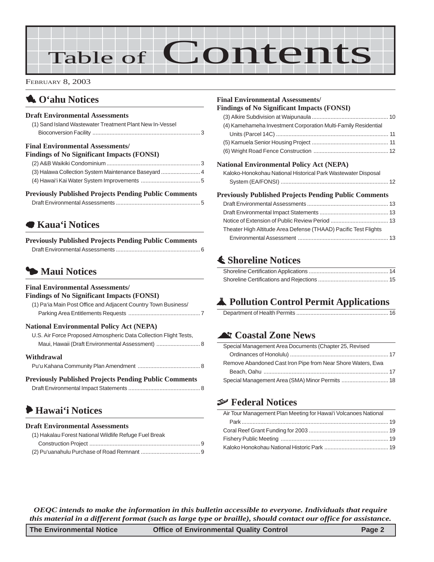# Table of Contents

FEBRUARY 8, 2003

## 1 **O'ahu Notices**

### **Draft Environmental Assessments**

| (1) Sand Island Wastewater Treatment Plant New In-Vessel |  |
|----------------------------------------------------------|--|
|                                                          |  |

#### **Final Environmental Assessments/**

| <b>Findings of No Significant Impacts (FONSI)</b>    |  |
|------------------------------------------------------|--|
|                                                      |  |
| (3) Halawa Collection System Maintenance Baseyard  4 |  |
|                                                      |  |

### **Previously Published Projects Pending Public Comments**

## 7 **Kaua'i Notices**

| <b>Previously Published Projects Pending Public Comments</b> |  |
|--------------------------------------------------------------|--|
|                                                              |  |

## 3 **Maui Notices**

#### **Final Environmental Assessments/**

#### **Findings of No Significant Impacts (FONSI)**

[\(1\) Pa'ia Main Post Office and Adjacent Country Town Business/](#page-6-0) [Parking Area Entitlements Requests](#page-6-0) .............................................. 7

### **National Environmental Policy Act (NEPA)**

| U.S. Air Force Proposed Atmospheric Data Collection Flight Tests, |  |
|-------------------------------------------------------------------|--|
|                                                                   |  |

#### **Withdrawal**

| <b>Previously Published Projects Pending Public Comments</b> |  |
|--------------------------------------------------------------|--|
|                                                              |  |

## 6 **Hawai'i Notices**

#### **Draft Environmental Assessments**

| (1) Hakalau Forest National Wildlife Refuge Fuel Break |  |
|--------------------------------------------------------|--|
|                                                        |  |
|                                                        |  |

#### **Final Environmental Assessments/**

#### **Findings of No Significant Impacts (FONSI)**

| (4) Kamehameha Investment Corporation Multi-Family Residential                                                                                   |  |
|--------------------------------------------------------------------------------------------------------------------------------------------------|--|
|                                                                                                                                                  |  |
|                                                                                                                                                  |  |
|                                                                                                                                                  |  |
| $\mathbf{A}$ and $\mathbf{B}$ and $\mathbf{B}$ are $\mathbf{A}$ and $\mathbf{B}$ and $\mathbf{B}$ and $\mathbf{A}$ and $\mathbf{A}$ $\mathbf{B}$ |  |

#### **National Environmental Policy Act (NEPA)**

| Kaloko-Honokohau National Historical Park Wastewater Disposal |  |
|---------------------------------------------------------------|--|
|                                                               |  |

#### **Previously Published Projects Pending Public Comments**

| Theater High Altitude Area Defense (THAAD) Pacific Test Flights |  |
|-----------------------------------------------------------------|--|
|                                                                 |  |
|                                                                 |  |

## s **Shoreline Notices**

## V **Pollution Control Permit Applications**

|--|

## ^ **Coastal Zone News**

| Special Management Area Documents (Chapter 25, Revised      |
|-------------------------------------------------------------|
|                                                             |
| Remove Abandoned Cast Iron Pipe from Near Shore Waters, Ewa |
|                                                             |
| Special Management Area (SMA) Minor Permits  18             |

### { **Federal Notices**

| Air Tour Management Plan Meeting for Hawai'i Volcanoes National |  |
|-----------------------------------------------------------------|--|
|                                                                 |  |
|                                                                 |  |
|                                                                 |  |
|                                                                 |  |

*OEQC intends to make the information in this bulletin accessible to everyone. Individuals that require this material in a different format (such as large type or braille), should contact our office for assistance.*

| The Environmental Notice | <b>Office of Environmental Quality Control</b> | Page 2 |
|--------------------------|------------------------------------------------|--------|
|--------------------------|------------------------------------------------|--------|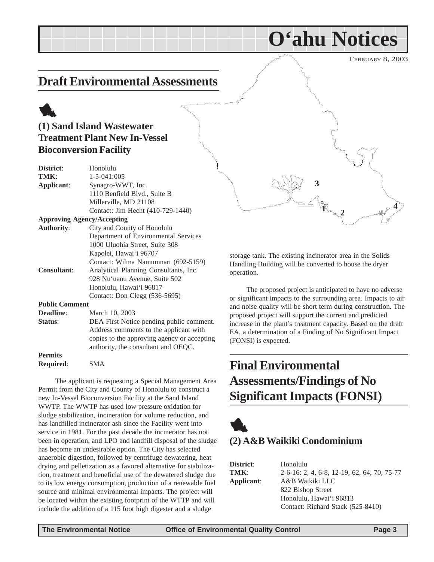FEBRUARY 8, 2003

## <span id="page-2-0"></span>**Draft Environmental Assessments**

## 1 **(1) Sand Island Wastewater Treatment Plant New In-Vessel Bioconversion Facility**

| Honolulu                                 |
|------------------------------------------|
| $1 - 5 - 041:005$                        |
| Synagro-WWT, Inc.                        |
| 1110 Benfield Blvd., Suite B             |
| Millerville, MD 21108                    |
| Contact: Jim Hecht (410-729-1440)        |
| <b>Approving Agency/Accepting</b>        |
| City and County of Honolulu              |
| Department of Environmental Services     |
| 1000 Uluohia Street, Suite 308           |
| Kapolei, Hawai'i 96707                   |
| Contact: Wilma Namumnart (692-5159)      |
| Analytical Planning Consultants, Inc.    |
| 928 Nu'uanu Avenue, Suite 502            |
| Honolulu, Hawai'i 96817                  |
| Contact: Don Clegg (536-5695)            |
| <b>Public Comment</b>                    |
| March 10, 2003                           |
| DEA First Notice pending public comment. |
|                                          |

Address comments to the applicant with copies to the approving agency or accepting authority, the consultant and OEQC. **Permits**

**Required**: SMA

The applicant is requesting a Special Management Area Permit from the City and County of Honolulu to construct a new In-Vessel Bioconversion Facility at the Sand Island WWTP. The WWTP has used low pressure oxidation for sludge stabilization, incineration for volume reduction, and has landfilled incinerator ash since the Facility went into service in 1981. For the past decade the incinerator has not been in operation, and LPO and landfill disposal of the sludge has become an undesirable option. The City has selected anaerobic digestion, followed by centrifuge dewatering, heat drying and pelletization as a favored alternative for stabilization, treatment and beneficial use of the dewatered sludge due to its low energy consumption, production of a renewable fuel source and minimal environmental impacts. The project will be located within the existing footprint of the WTTP and will include the addition of a 115 foot high digester and a sludge



**O'ahu Notices**

storage tank. The existing incinerator area in the Solids Handling Building will be converted to house the dryer operation.

The proposed project is anticipated to have no adverse or significant impacts to the surrounding area. Impacts to air and noise quality will be short term during construction. The proposed project will support the current and predicted increase in the plant's treatment capacity. Based on the draft EA, a determination of a Finding of No Significant Impact (FONSI) is expected.

## **Final Environmental Assessments/Findings of No Significant Impacts (FONSI)**



## **(2) A&B Waikiki Condominium**

| District:  | Honolulu                                    |
|------------|---------------------------------------------|
| TMK:       | 2-6-16: 2, 4, 6-8, 12-19, 62, 64, 70, 75-77 |
| Applicant: | A&B Waikiki LLC                             |
|            | 822 Bishop Street                           |
|            | Honolulu, Hawai'i 96813                     |
|            | Contact: Richard Stack (525-8410)           |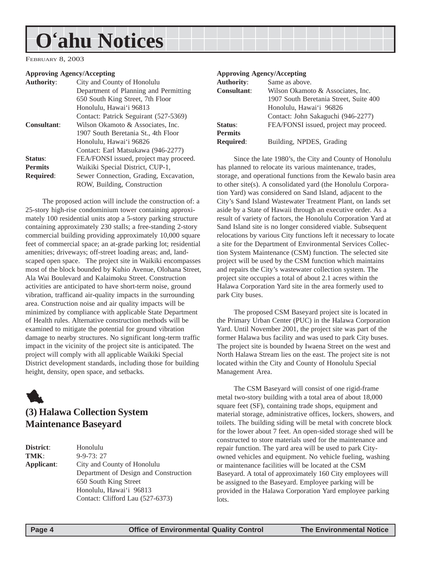## <span id="page-3-0"></span>**O'ahu Notices**

FEBRUARY 8, 2003

#### **Approving Agency/Accepting**

| City and County of Honolulu            |
|----------------------------------------|
| Department of Planning and Permitting  |
| 650 South King Street, 7th Floor       |
| Honolulu, Hawai'i 96813                |
| Contact: Patrick Seguirant (527-5369)  |
| Wilson Okamoto & Associates, Inc.      |
| 1907 South Beretania St., 4th Floor    |
| Honolulu, Hawai'i 96826                |
| Contact: Earl Matsukawa (946-2277)     |
| FEA/FONSI issued, project may proceed. |
| Waikiki Special District, CUP-1,       |
| Sewer Connection, Grading, Excavation, |
| ROW, Building, Construction            |
|                                        |

The proposed action will include the construction of: a 25-story high-rise condominium tower containing approximately 100 residential units atop a 5-story parking structure containing approximately 230 stalls; a free-standing 2-story commercial building providing approximately 10,000 square feet of commercial space; an at-grade parking lot; residential amenities; driveways; off-street loading areas; and, landscaped open space. The project site in Waikiki encompasses most of the block bounded by Kuhio Avenue, Olohana Street, Ala Wai Boulevard and Kalaimoku Street. Construction activities are anticipated to have short-term noise, ground vibration, trafficand air-quality impacts in the surrounding area. Construction noise and air quality impacts will be minimized by compliance with applicable State Department of Health rules. Alternative construction methods will be examined to mitigate the potential for ground vibration damage to nearby structures. No significant long-term traffic impact in the vicinity of the project site is anticipated. The project will comply with all applicable Waikiki Special District development standards, including those for building height, density, open space, and setbacks.



## **(3) Halawa Collection System Maintenance Baseyard**

**District**: Honolulu **TMK**: 9-9-73: 27 **Applicant**: City and County of Honolulu Department of Design and Construction 650 South King Street Honolulu, Hawai'i 96813 Contact: Clifford Lau (527-6373)

#### **Approving Agency/Accepting**

| <b>Authority:</b>  | Same as above.                         |
|--------------------|----------------------------------------|
| <b>Consultant:</b> | Wilson Okamoto & Associates, Inc.      |
|                    | 1907 South Beretania Street, Suite 400 |
|                    | Honolulu, Hawai'i 96826                |
|                    | Contact: John Sakaguchi (946-2277)     |
| Status:            | FEA/FONSI issued, project may proceed. |
| <b>Permits</b>     |                                        |
| <b>Required:</b>   | Building, NPDES, Grading               |
|                    |                                        |

Since the late 1980's, the City and County of Honolulu has planned to relocate its various maintenance, trades, storage, and operational functions from the Kewalo basin area to other site(s). A consolidated yard (the Honolulu Corporation Yard) was considered on Sand Island, adjacent to the City's Sand Island Wastewater Treatment Plant, on lands set aside by a State of Hawaii through an executive order. As a result of variety of factors, the Honolulu Corporation Yard at Sand Island site is no longer considered viable. Subsequent relocations by various City functions left it necessary to locate a site for the Department of Environmental Services Collection System Maintenance (CSM) function. The selected site project will be used by the CSM function which maintains and repairs the City's wastewater collection system. The project site occupies a total of about 2.1 acres within the Halawa Corporation Yard site in the area formerly used to park City buses.

The proposed CSM Baseyard project site is located in the Primary Urban Center (PUC) in the Halawa Corporation Yard. Until November 2001, the project site was part of the former Halawa bus facility and was used to park City buses. The project site is bounded by Iwaena Street on the west and North Halawa Stream lies on the east. The project site is not located within the City and County of Honolulu Special Management Area.

The CSM Baseyard will consist of one rigid-frame metal two-story building with a total area of about 18,000 square feet (SF), containing trade shops, equipment and material storage, administrative offices, lockers, showers, and toilets. The building siding will be metal with concrete block for the lower about 7 feet. An open-sided storage shed will be constructed to store materials used for the maintenance and repair function. The yard area will be used to park Cityowned vehicles and equipment. No vehicle fueling, washing or maintenance facilities will be located at the CSM Baseyard. A total of approximately 160 City employees will be assigned to the Baseyard. Employee parking will be provided in the Halawa Corporation Yard employee parking lots.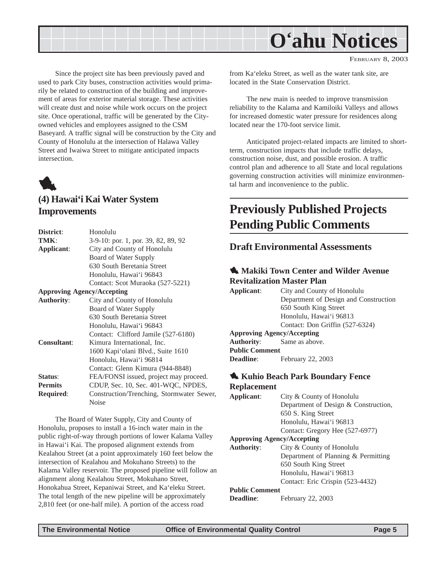<span id="page-4-0"></span>

FEBRUARY 8, 2003

Since the project site has been previously paved and used to park City buses, construction activities would primarily be related to construction of the building and improvement of areas for exterior material storage. These activities will create dust and noise while work occurs on the project site. Once operational, traffic will be generated by the Cityowned vehicles and employees assigned to the CSM Baseyard. A traffic signal will be construction by the City and County of Honolulu at the intersection of Halawa Valley Street and Iwaiwa Street to mitigate anticipated impacts intersection.



### **(4) Hawai'i Kai Water System Improvements**

| District:                         | Honolulu                                  |
|-----------------------------------|-------------------------------------------|
| TMK:                              | 3-9-10: por. 1, por. 39, 82, 89, 92       |
| Applicant:                        | City and County of Honolulu               |
|                                   | Board of Water Supply                     |
|                                   | 630 South Beretania Street                |
|                                   | Honolulu, Hawai'i 96843                   |
|                                   | Contact: Scot Muraoka (527-5221)          |
| <b>Approving Agency/Accepting</b> |                                           |
| <b>Authority:</b>                 | City and County of Honolulu               |
|                                   | Board of Water Supply                     |
|                                   | 630 South Beretania Street                |
|                                   | Honolulu, Hawai'i 96843                   |
|                                   | Contact: Clifford Jamile (527-6180)       |
| <b>Consultant:</b>                | Kimura International, Inc.                |
|                                   | 1600 Kapi'olani Blvd., Suite 1610         |
|                                   | Honolulu, Hawai'i 96814                   |
|                                   | Contact: Glenn Kimura (944-8848)          |
| Status:                           | FEA/FONSI issued, project may proceed.    |
| <b>Permits</b>                    | CDUP, Sec. 10, Sec. 401-WQC, NPDES,       |
| <b>Required:</b>                  | Construction/Trenching, Stormwater Sewer, |
|                                   | Noise                                     |

The Board of Water Supply, City and County of Honolulu, proposes to install a 16-inch water main in the public right-of-way through portions of lower Kalama Valley in Hawai'i Kai. The proposed alignment extends from Kealahou Street (at a point approximately 160 feet below the intersection of Kealahou and Mokuhano Streets) to the Kalama Valley reservoir. The proposed pipeline will follow an alignment along Kealahou Street, Mokuhano Street, Honokahua Street, Kepaniwai Street, and Ka'eleku Street. The total length of the new pipeline will be approximately 2,810 feet (or one-half mile). A portion of the access road

from Ka'eleku Street, as well as the water tank site, are located in the State Conservation District.

The new main is needed to improve transmission reliability to the Kalama and Kamiloiki Valleys and allows for increased domestic water pressure for residences along located near the 170-foot service limit.

Anticipated project-related impacts are limited to shortterm, construction impacts that include traffic delays, construction noise, dust, and possible erosion. A traffic control plan and adherence to all State and local regulations governing construction activities will minimize environmental harm and inconvenience to the public.

## **Previously Published Projects Pending Public Comments**

### **Draft Environmental Assessments**

### **1. Makiki Town Center and Wilder Avenue Revitalization Master Plan**

**Applicant**: City and County of Honolulu Department of Design and Construction 650 South King Street Honolulu, Hawai'i 96813 Contact: Don Griffin (527-6324) **Approving Agency/Accepting Authority**: Same as above.

**Public Comment**

**Deadline**: February 22, 2003

### 1 **Kuhio Beach Park Boundary Fence Replacement**

**Applicant**: City & County of Honolulu Department of Design & Construction, 650 S. King Street Honolulu, Hawai'i 96813 Contact: Gregory Hee (527-6977) **Approving Agency/Accepting Authority**: City & County of Honolulu Department of Planning & Permitting 650 South King Street Honolulu, Hawai'i 96813 Contact: Eric Crispin (523-4432) **Public Comment Deadline**: February 22, 2003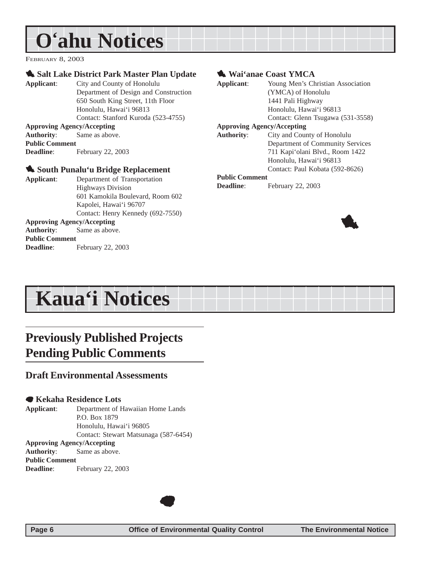## <span id="page-5-0"></span>**O'ahu Notices**

FEBRUARY 8, 2003

### **1. Salt Lake District Park Master Plan Update**

**Applicant**: City and County of Honolulu Department of Design and Construction 650 South King Street, 11th Floor Honolulu, Hawai'i 96813 Contact: Stanford Kuroda (523-4755) **Approving Agency/Accepting Authority**: Same as above.

#### **Public Comment Deadline**: February 22, 2003

### 1 **South Punalu'u Bridge Replacement**

| Applicant:            | Department of Transportation      |
|-----------------------|-----------------------------------|
|                       | <b>Highways Division</b>          |
|                       | 601 Kamokila Boulevard, Room 602  |
|                       | Kapolei, Hawai'i 96707            |
|                       | Contact: Henry Kennedy (692-7550) |
|                       | <b>Approving Agency/Accepting</b> |
|                       | <b>Authority:</b> Same as above.  |
| <b>Public Comment</b> |                                   |
| Deadline:             | February 22, 2003                 |
|                       |                                   |

### 1 **Wai'anae Coast YMCA**

| Applicant:                        | Young Men's Christian Association |
|-----------------------------------|-----------------------------------|
|                                   | (YMCA) of Honolulu                |
|                                   | 1441 Pali Highway                 |
|                                   | Honolulu, Hawai'i 96813           |
|                                   | Contact: Glenn Tsugawa (531-3558) |
| <b>Approving Agency/Accepting</b> |                                   |
| <b>Authority:</b>                 | City and County of Honolulu       |
|                                   | Department of Community Services  |
|                                   | 711 Kapi'olani Blvd., Room 1422   |
|                                   | Honolulu, Hawai'i 96813           |
|                                   | Contact: Paul Kobata (592-8626)   |
| <b>Public Comment</b>             |                                   |
| Deadline:                         | February 22, 2003                 |
|                                   |                                   |



## **Kaua'i Notices**

## **Previously Published Projects Pending Public Comments**

### **Draft Environmental Assessments**

### 7 **Kekaha Residence Lots**

**Applicant**: Department of Hawaiian Home Lands P.O. Box 1879 Honolulu, Hawai'i 96805 Contact: Stewart Matsunaga (587-6454) **Approving Agency/Accepting**

**Authority**: Same as above. **Public Comment**

**Deadline**: February 22, 2003

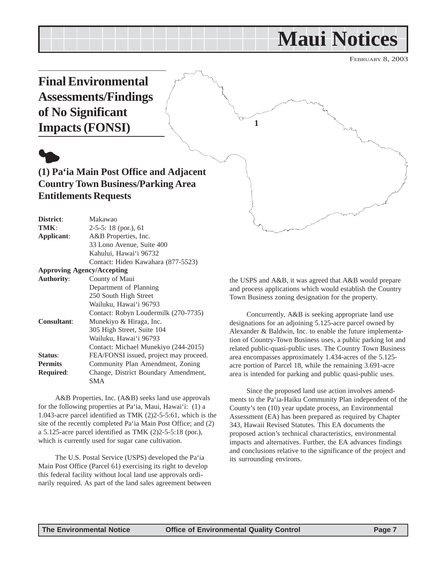## **Maui Notices**

FEBRUARY 8, 2003

<span id="page-6-0"></span>

| TMK:                              | $2-5-5$ : 18 (por.), 61                |
|-----------------------------------|----------------------------------------|
| Applicant:                        | A&B Properties, Inc.                   |
|                                   | 33 Lono Avenue, Suite 400              |
|                                   | Kahului, Hawai'i 96732                 |
|                                   | Contact: Hideo Kawahara (877-5523)     |
| <b>Approving Agency/Accepting</b> |                                        |
| <b>Authority:</b>                 | County of Maui                         |
|                                   | Department of Planning                 |
|                                   | 250 South High Street                  |
|                                   | Wailuku, Hawai'i 96793                 |
|                                   | Contact: Robyn Loudermilk (270-7735)   |
| <b>Consultant:</b>                | Munekiyo & Hiraga, Inc.                |
|                                   | 305 High Street, Suite 104             |
|                                   | Wailuku, Hawai'i 96793                 |
|                                   | Contact: Michael Munekiyo (244-2015)   |
| Status:                           | FEA/FONSI issued, project may proceed. |
| <b>Permits</b>                    | Community Plan Amendment, Zoning       |
| <b>Required:</b>                  | Change, District Boundary Amendment,   |
|                                   | SMA                                    |

A&B Properties, Inc. (A&B) seeks land use approvals for the following properties at Pa'ia, Maui, Hawai'i: (1) a 1.043-acre parcel identified as TMK (2)2-5-5:61, which is the site of the recently completed Pa'ia Main Post Office; and (2) a 5.125-acre parcel identified as TMK (2)2-5-5:18 (por.), which is currently used for sugar cane cultivation.

The U.S. Postal Service (USPS) developed the Pa'ia Main Post Office (Parcel 61) exercising its right to develop this federal facility without local land use approvals ordinarily required. As part of the land sales agreement between the USPS and A&B, it was agreed that A&B would prepare and process applications which would establish the Country Town Business zoning designation for the property.

Concurrently, A&B is seeking appropriate land use designations for an adjoining 5.125-acre parcel owned by Alexander & Baldwin, Inc. to enable the future implementation of Country-Town Business uses, a public parking lot and related public-quasi-public uses. The Country Town Business area encompasses approximately 1.434-acres of the 5.125 acre portion of Parcel 18, while the remaining 3.691-acre area is intended for parking and public quasi-public uses.

Since the proposed land use action involves amendments to the Pa'ia-Haiku Community Plan independent of the County's ten (10) year update process, an Environmental Assessment (EA) has been prepared as required by Chapter 343, Hawaii Revised Statutes. This EA documents the proposed action's technical characteristics, environmental impacts and alternatives. Further, the EA advances findings and conclusions relative to the significance of the project and its surrounding environs.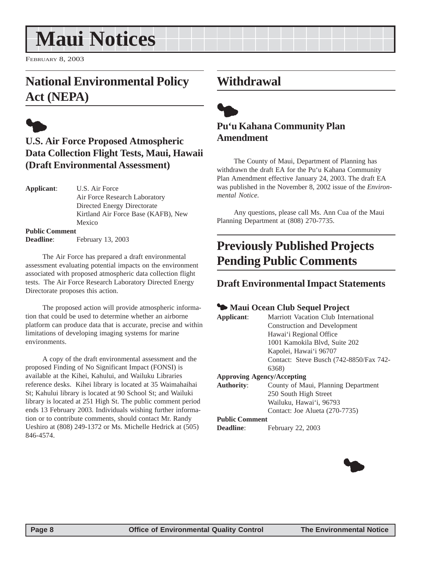## <span id="page-7-0"></span>**Maui Notices**

FEBRUARY 8, 2003

## **National Environmental Policy Act (NEPA)**



## **U.S. Air Force Proposed Atmospheric Data Collection Flight Tests, Maui, Hawaii (Draft Environmental Assessment)**

| Applicant:            | U.S. Air Force                      |
|-----------------------|-------------------------------------|
|                       | Air Force Research Laboratory       |
|                       | Directed Energy Directorate         |
|                       | Kirtland Air Force Base (KAFB), New |
|                       | Mexico                              |
| <b>Public Comment</b> |                                     |
| <b>Deadline</b> :     | February 13, 2003                   |

The Air Force has prepared a draft environmental assessment evaluating potential impacts on the environment associated with proposed atmospheric data collection flight tests. The Air Force Research Laboratory Directed Energy Directorate proposes this action.

The proposed action will provide atmospheric information that could be used to determine whether an airborne platform can produce data that is accurate, precise and within limitations of developing imaging systems for marine environments.

A copy of the draft environmental assessment and the proposed Finding of No Significant Impact (FONSI) is available at the Kihei, Kahului, and Wailuku Libraries reference desks. Kihei library is located at 35 Waimahaihai St; Kahului library is located at 90 School St; and Wailuki library is located at 251 High St. The public comment period ends 13 February 2003. Individuals wishing further information or to contribute comments, should contact Mr. Randy Ueshiro at (808) 249-1372 or Ms. Michelle Hedrick at (505) 846-4574.

## **Withdrawal**



## **Pu'u Kahana Community Plan Amendment**

The County of Maui, Department of Planning has withdrawn the draft EA for the Pu'u Kahana Community Plan Amendment effective January 24, 2003. The draft EA was published in the November 8, 2002 issue of the *Environmental Notice.*

Any questions, please call Ms. Ann Cua of the Maui Planning Department at (808) 270-7735.

## **Previously Published Projects Pending Public Comments**

### **Draft Environmental Impact Statements**

### **<sup>4</sup> Maui Ocean Club Sequel Project**

|                                                    | - Inium Ocean Child Dequei I Foject     |  |
|----------------------------------------------------|-----------------------------------------|--|
| Marriott Vacation Club International<br>Applicant: |                                         |  |
|                                                    | Construction and Development            |  |
|                                                    | Hawai'i Regional Office                 |  |
|                                                    | 1001 Kamokila Blvd, Suite 202           |  |
|                                                    | Kapolei, Hawai'i 96707                  |  |
|                                                    | Contact: Steve Busch (742-8850/Fax 742- |  |
|                                                    | 6368)                                   |  |
|                                                    | <b>Approving Agency/Accepting</b>       |  |
| <b>Authority:</b>                                  | County of Maui, Planning Department     |  |
|                                                    | 250 South High Street                   |  |
|                                                    | Wailuku, Hawai'i, 96793                 |  |
|                                                    | Contact: Joe Alueta (270-7735)          |  |
| <b>Public Comment</b>                              |                                         |  |
| <b>Deadline:</b>                                   | February 22, 2003                       |  |

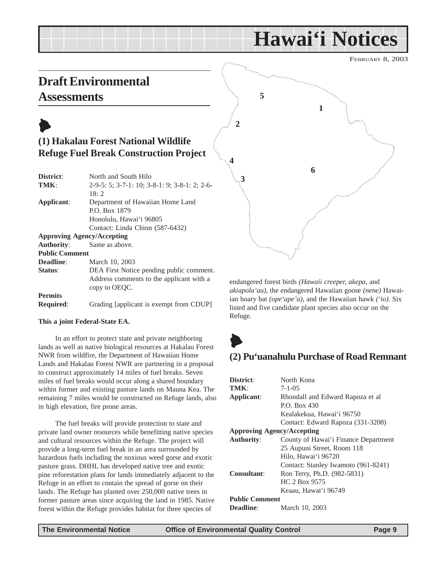FEBRUARY 8, 2003

## <span id="page-8-0"></span>**Draft Environmental**

copy to OEQC.

**This a joint Federal-State EA.**

in high elevation, fire prone areas.

**Required:** Grading [applicant is exempt from CDUP]

In an effort to protect state and private neighboring lands as well as native biological resources at Hakalau Forest NWR from wildfire, the Department of Hawaiian Home Lands and Hakalau Forest NWR are partnering in a proposal to construct approximately 14 miles of fuel breaks. Seven miles of fuel breaks would occur along a shared boundary within former and existing pasture lands on Mauna Kea. The remaining 7 miles would be constructed on Refuge lands, also

The fuel breaks will provide protection to state and private land owner resources while benefitting native species and cultural resources within the Refuge. The project will provide a long-term fuel break in an area surrounded by hazardous fuels including the noxious weed gorse and exotic pasture grass. DHHL has developed native tree and exotic pine reforestation plans for lands immediately adjacent to the Refuge in an effort to contain the spread of gorse on their lands. The Refuge has planted over 250,000 native trees in former pasture areas since acquiring the land in 1985. Native forest within the Refuge provides habitat for three species of

**Permits**



endangered forest birds *(Hawaii creeper, akepa,* and *akiapola'au)*, the endangered Hawaiian goose *(nene)* Hawaiian hoary bat *(ope'ape'a)*, and the Hawaiian hawk *('io)*. Six listed and five candidate plant species also occur on the Refuge.



## **(2) Pu'uanahulu Purchase of Road Remnant**

| District:                         | North Kona                           |  |  |
|-----------------------------------|--------------------------------------|--|--|
| TMK:                              | $7 - 1 - 0.5$                        |  |  |
| Applicant:                        | Rhondall and Edward Rapoza et al     |  |  |
|                                   | P.O. Box 430                         |  |  |
|                                   | Kealakekua, Hawai'i 96750            |  |  |
|                                   | Contact: Edward Rapoza (331-3208)    |  |  |
| <b>Approving Agency/Accepting</b> |                                      |  |  |
| <b>Authority:</b>                 | County of Hawai'i Finance Department |  |  |
|                                   | 25 Aupuni Street, Room 118           |  |  |
|                                   | Hilo, Hawai'i 96720                  |  |  |
|                                   | Contact: Stanley Iwamoto (961-8241)  |  |  |
| <b>Consultant:</b>                | Ron Terry, Ph.D. (982-5831)          |  |  |
|                                   | HC 2 Box 9575                        |  |  |
|                                   | Keaau, Hawai'i 96749                 |  |  |
| <b>Public Comment</b>             |                                      |  |  |
| Deadline:                         | March 10, 2003                       |  |  |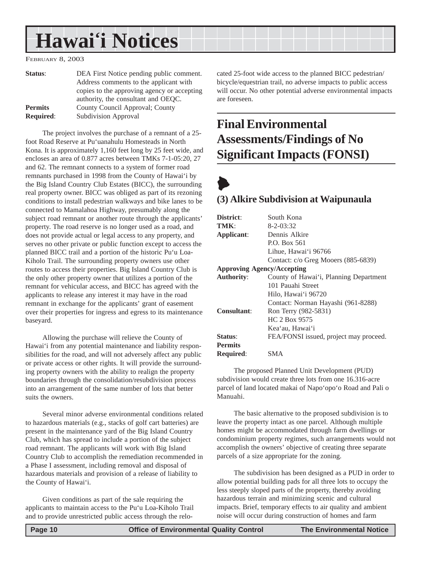#### <span id="page-9-0"></span>FEBRUARY 8, 2003

| Status:          | DEA First Notice pending public comment.    |
|------------------|---------------------------------------------|
|                  | Address comments to the applicant with      |
|                  | copies to the approving agency or accepting |
|                  | authority, the consultant and OEQC.         |
| <b>Permits</b>   | County Council Approval; County             |
| <b>Required:</b> | Subdivision Approval                        |

The project involves the purchase of a remnant of a 25 foot Road Reserve at Pu'uanahulu Homesteads in North Kona. It is approximately 1,160 feet long by 25 feet wide, and encloses an area of 0.877 acres between TMKs 7-1-05:20, 27 and 62. The remnant connects to a system of former road remnants purchased in 1998 from the County of Hawai'i by the Big Island Country Club Estates (BICC), the surrounding real property owner. BICC was obliged as part of its rezoning conditions to install pedestrian walkways and bike lanes to be connected to Mamalahoa Highway, presumably along the subject road remnant or another route through the applicants' property. The road reserve is no longer used as a road, and does not provide actual or legal access to any property, and serves no other private or public function except to access the planned BICC trail and a portion of the historic Pu'u Loa-Kiholo Trail. The surrounding property owners use other routes to access their properties. Big Island Country Club is the only other property owner that utilizes a portion of the remnant for vehicular access, and BICC has agreed with the applicants to release any interest it may have in the road remnant in exchange for the applicants' grant of easement over their properties for ingress and egress to its maintenance baseyard.

Allowing the purchase will relieve the County of Hawai'i from any potential maintenance and liability responsibilities for the road, and will not adversely affect any public or private access or other rights. It will provide the surrounding property owners with the ability to realign the property boundaries through the consolidation/resubdivision process into an arrangement of the same number of lots that better suits the owners.

Several minor adverse environmental conditions related to hazardous materials (e.g., stacks of golf cart batteries) are present in the maintenance yard of the Big Island Country Club, which has spread to include a portion of the subject road remnant. The applicants will work with Big Island Country Club to accomplish the remediation recommended in a Phase I assessment, including removal and disposal of hazardous materials and provision of a release of liability to the County of Hawai'i.

Given conditions as part of the sale requiring the applicants to maintain access to the Pu'u Loa-Kiholo Trail and to provide unrestricted public access through the relocated 25-foot wide access to the planned BICC pedestrian/ bicycle/equestrian trail, no adverse impacts to public access will occur. No other potential adverse environmental impacts are foreseen.

## **Final Environmental Assessments/Findings of No Significant Impacts (FONSI)**

## $\blacklozenge$

### **(3) Alkire Subdivision at Waipunaula**

| District:                         | South Kona                             |  |  |
|-----------------------------------|----------------------------------------|--|--|
| TMK:                              | 8-2-03:32                              |  |  |
| Applicant:                        | Dennis Alkire                          |  |  |
|                                   | P.O. Box 561                           |  |  |
|                                   | Lihue, Hawai'i 96766                   |  |  |
|                                   | Contact: c/o Greg Mooers (885-6839)    |  |  |
| <b>Approving Agency/Accepting</b> |                                        |  |  |
| <b>Authority:</b>                 | County of Hawai'i, Planning Department |  |  |
|                                   | 101 Pauahi Street                      |  |  |
|                                   | Hilo, Hawai'i 96720                    |  |  |
|                                   | Contact: Norman Hayashi (961-8288)     |  |  |
| <b>Consultant:</b>                | Ron Terry (982-5831)                   |  |  |
|                                   | HC 2 Box 9575                          |  |  |
|                                   | Kea'au, Hawai'i                        |  |  |
| <b>Status:</b>                    | FEA/FONSI issued, project may proceed. |  |  |
| <b>Permits</b>                    |                                        |  |  |
| <b>Required:</b>                  | SMA                                    |  |  |

The proposed Planned Unit Development (PUD) subdivision would create three lots from one 16.316-acre parcel of land located makai of Napo'opo'o Road and Pali o Manuahi.

The basic alternative to the proposed subdivision is to leave the property intact as one parcel. Although multiple homes might be accommodated through farm dwellings or condominium property regimes, such arrangements would not accomplish the owners' objective of creating three separate parcels of a size appropriate for the zoning.

The subdivision has been designed as a PUD in order to allow potential building pads for all three lots to occupy the less steeply sloped parts of the property, thereby avoiding hazardous terrain and minimizing scenic and cultural impacts. Brief, temporary effects to air quality and ambient noise will occur during construction of homes and farm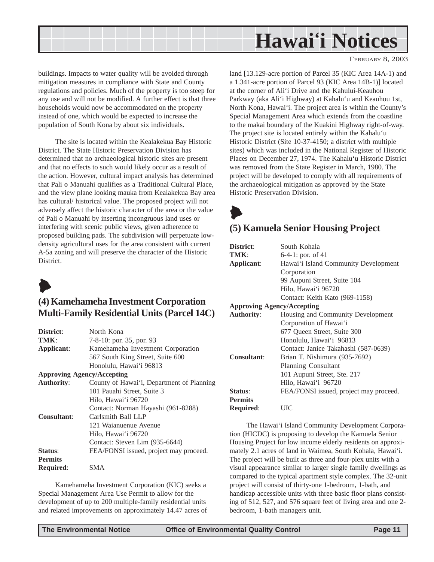<span id="page-10-0"></span>

FEBRUARY 8, 2003

buildings. Impacts to water quality will be avoided through mitigation measures in compliance with State and County regulations and policies. Much of the property is too steep for any use and will not be modified. A further effect is that three households would now be accommodated on the property instead of one, which would be expected to increase the population of South Kona by about six individuals.

The site is located within the Kealakekua Bay Historic District. The State Historic Preservation Division has determined that no archaeological historic sites are present and that no effects to such would likely occur as a result of the action. However, cultural impact analysis has determined that Pali o Manuahi qualifies as a Traditional Cultural Place, and the view plane looking mauka from Kealakekua Bay area has cultural/ historical value. The proposed project will not adversely affect the historic character of the area or the value of Pali o Manuahi by inserting incongruous land uses or interfering with scenic public views, given adherence to proposed building pads. The subdivision will perpetuate lowdensity agricultural uses for the area consistent with current A-5a zoning and will preserve the character of the Historic District.



## **(4) Kamehameha Investment Corporation Multi-Family Residential Units (Parcel 14C)**

| District:          | North Kona                                |  |  |
|--------------------|-------------------------------------------|--|--|
| TMK:               | 7-8-10: por. 35, por. 93                  |  |  |
| <b>Applicant:</b>  | Kamehameha Investment Corporation         |  |  |
|                    | 567 South King Street, Suite 600          |  |  |
|                    | Honolulu, Hawai'i 96813                   |  |  |
|                    | <b>Approving Agency/Accepting</b>         |  |  |
| <b>Authority:</b>  | County of Hawai'i, Department of Planning |  |  |
|                    | 101 Pauahi Street, Suite 3                |  |  |
|                    | Hilo, Hawai'i 96720                       |  |  |
|                    | Contact: Norman Hayashi (961-8288)        |  |  |
| <b>Consultant:</b> | Carlsmith Ball LLP                        |  |  |
|                    | 121 Waianuenue Avenue                     |  |  |
|                    | Hilo, Hawai'i 96720                       |  |  |
|                    | Contact: Steven Lim (935-6644)            |  |  |
| <b>Status:</b>     | FEA/FONSI issued, project may proceed.    |  |  |
| Permits            |                                           |  |  |
| <b>Required:</b>   | SMA                                       |  |  |
|                    |                                           |  |  |

Kamehameha Investment Corporation (KIC) seeks a Special Management Area Use Permit to allow for the development of up to 200 multiple-family residential units and related improvements on approximately 14.47 acres of land [13.129-acre portion of Parcel 35 (KIC Area 14A-1) and a 1.341-acre portion of Parcel 93 (KIC Area 14B-1)] located at the corner of Ali'i Drive and the Kahului-Keauhou Parkway (aka Ali'i Highway) at Kahalu'u and Keauhou 1st, North Kona, Hawai'i. The project area is within the County's Special Management Area which extends from the coastline to the makai boundary of the Kuakini Highway right-of-way. The project site is located entirely within the Kahalu'u Historic District (Site 10-37-4150; a district with multiple sites) which was included in the National Register of Historic Places on December 27, 1974. The Kahalu'u Historic District was removed from the State Register in March, 1980. The project will be developed to comply with all requirements of the archaeological mitigation as approved by the State Historic Preservation Division.

## $\blacktriangleright$ **(5) Kamuela Senior Housing Project**

| District:                                              | South Kohala                           |  |  |
|--------------------------------------------------------|----------------------------------------|--|--|
| TMK:                                                   | 6-4-1: por. of 41                      |  |  |
| Applicant:                                             | Hawai'i Island Community Development   |  |  |
|                                                        | Corporation                            |  |  |
|                                                        | 99 Aupuni Street, Suite 104            |  |  |
|                                                        | Hilo, Hawai'i 96720                    |  |  |
|                                                        | Contact: Keith Kato (969-1158)         |  |  |
| <b>Approving Agency/Accepting</b>                      |                                        |  |  |
| <b>Authority:</b><br>Housing and Community Development |                                        |  |  |
|                                                        | Corporation of Hawai'i                 |  |  |
|                                                        | 677 Oueen Street, Suite 300            |  |  |
|                                                        | Honolulu, Hawai'i 96813                |  |  |
|                                                        | Contact: Janice Takahashi (587-0639)   |  |  |
| <b>Consultant:</b>                                     | Brian T. Nishimura (935-7692)          |  |  |
|                                                        | Planning Consultant                    |  |  |
|                                                        | 101 Aupuni Street, Ste. 217            |  |  |
|                                                        | Hilo, Hawai'i 96720                    |  |  |
| Status:                                                | FEA/FONSI issued, project may proceed. |  |  |
| <b>Permits</b>                                         |                                        |  |  |
| Required:                                              | UІС                                    |  |  |
|                                                        |                                        |  |  |

The Hawai'i Island Community Development Corporation (HICDC) is proposing to develop the Kamuela Senior Housing Project for low income elderly residents on approximately 2.1 acres of land in Waimea, South Kohala, Hawai'i. The project will be built as three and four-plex units with a visual appearance similar to larger single family dwellings as compared to the typical apartment style complex. The 32-unit project will consist of thirty-one 1-bedroom, 1-bath, and handicap accessible units with three basic floor plans consisting of 512, 527, and 576 square feet of living area and one 2 bedroom, 1-bath managers unit.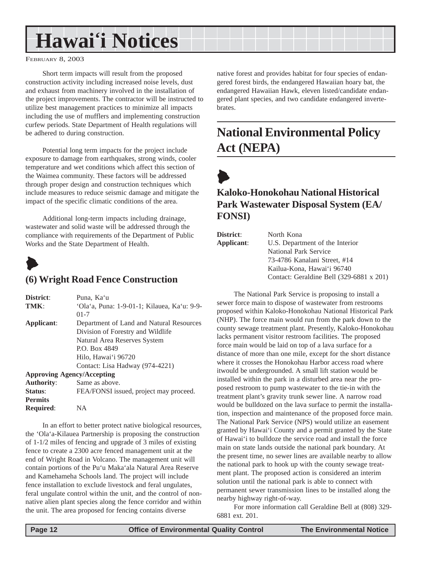#### <span id="page-11-0"></span>FEBRUARY 8, 2003

Short term impacts will result from the proposed construction activity including increased noise levels, dust and exhaust from machinery involved in the installation of the project improvements. The contractor will be instructed to utilize best management practices to minimize all impacts including the use of mufflers and implementing construction curfew periods. State Department of Health regulations will be adhered to during construction.

Potential long term impacts for the project include exposure to damage from earthquakes, strong winds, cooler temperature and wet conditions which affect this section of the Waimea community. These factors will be addressed through proper design and construction techniques which include measures to reduce seismic damage and mitigate the impact of the specific climatic conditions of the area.

Additional long-term impacts including drainage, wastewater and solid waste will be addressed through the compliance with requirements of the Department of Public Works and the State Department of Health.



### **(6) Wright Road Fence Construction**

| District:           | Puna, Ka'u                                  |  |
|---------------------|---------------------------------------------|--|
| TMK:                | 'Ola'a, Puna: 1-9-01-1; Kilauea, Ka'u: 9-9- |  |
|                     | $01-7$                                      |  |
| Applicant:          | Department of Land and Natural Resources    |  |
|                     | Division of Forestry and Wildlife           |  |
|                     | Natural Area Reserves System                |  |
|                     | P.O. Box 4849                               |  |
|                     | Hilo, Hawai'i 96720                         |  |
|                     | Contact: Lisa Hadway (974-4221)             |  |
|                     | <b>Approving Agency/Accepting</b>           |  |
| <b>Authority:</b>   | Same as above.                              |  |
| $\mathbf{C}$ totuar | $EEA/ENNICI$ issued project may proceed     |  |

**Status:** FEA/FONSI issued, project may proceed. **Permits Required**: NA In an effort to better protect native biological resources,

the 'Ola'a-Kilauea Partnership is proposing the construction of 1-1/2 miles of fencing and upgrade of 3 miles of existing fence to create a 2300 acre fenced management unit at the end of Wright Road in Volcano. The management unit will contain portions of the Pu'u Maka'ala Natural Area Reserve and Kamehameha Schools land. The project will include fence installation to exclude livestock and feral ungulates, feral ungulate control within the unit, and the control of nonnative alien plant species along the fence corridor and within the unit. The area proposed for fencing contains diverse

native forest and provides habitat for four species of endangered forest birds, the endangered Hawaiian hoary bat, the endangered Hawaiian Hawk, eleven listed/candidate endangered plant species, and two candidate endangered invertebrates.

## **National Environmental Policy Act (NEPA)**

 $\blacktriangleright$ 

### **Kaloko-Honokohau National Historical Park Wastewater Disposal System (EA/ FONSI)**

| District:  | North Kona                               |
|------------|------------------------------------------|
| Applicant: | U.S. Department of the Interior          |
|            | <b>National Park Service</b>             |
|            | 73-4786 Kanalani Street, #14             |
|            | Kailua-Kona, Hawai'i 96740               |
|            | Contact: Geraldine Bell (329-6881 x 201) |
|            |                                          |

The National Park Service is proposing to install a sewer force main to dispose of wastewater from restrooms proposed within Kaloko-Honokohau National Historical Park (NHP). The force main would run from the park down to the county sewage treatment plant. Presently, Kaloko-Honokohau lacks permanent visitor restroom facilities. The proposed force main would be laid on top of a lava surface for a distance of more than one mile, except for the short distance where it crosses the Honokohau Harbor access road where itwould be undergrounded. A small lift station would be installed within the park in a disturbed area near the proposed restroom to pump wastewater to the tie-in with the treatment plant's gravity trunk sewer line. A narrow road would be bulldozed on the lava surface to permit the installation, inspection and maintenance of the proposed force main. The National Park Service (NPS) would utilize an easement granted by Hawai'i County and a permit granted by the State of Hawai'i to bulldoze the service road and install the force main on state lands outside the national park boundary. At the present time, no sewer lines are available nearby to allow the national park to hook up with the county sewage treatment plant. The proposed action is considered an interim solution until the national park is able to connect with permanent sewer transmission lines to be installed along the nearby highway right-of-way.

For more information call Geraldine Bell at (808) 329- 6881 ext. 201.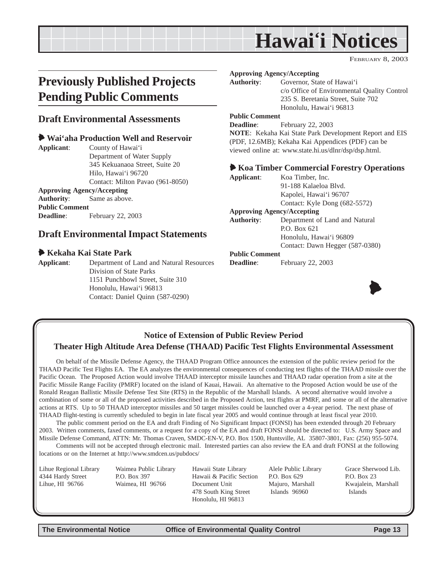FEBRUARY 8, 2003

## <span id="page-12-0"></span>**Previously Published Projects Pending Public Comments**

### **Draft Environmental Assessments**

### 6 **Wai'aha Production Well and Reservoir**

**Applicant**: County of Hawai'i Department of Water Supply 345 Kekuanaoa Street, Suite 20 Hilo, Hawai'i 96720 Contact: Milton Pavao (961-8050) **Approving Agency/Accepting**

**Authority**: Same as above. **Public Comment Deadline**: February 22, 2003

### **Draft Environmental Impact Statements**

### 6 **Kekaha Kai State Park**

**Applicant**: Department of Land and Natural Resources Division of State Parks 1151 Punchbowl Street, Suite 310 Honolulu, Hawai'i 96813

Contact: Daniel Quinn (587-0290)

#### **Approving Agency/Accepting**

**Authority**: Governor, State of Hawai'i c/o Office of Environmental Quality Control 235 S. Beretania Street, Suite 702 Honolulu, Hawai'i 96813

### **Public Comment**

**Deadline**: February 22, 2003 **NOTE**: Kekaha Kai State Park Development Report and EIS (PDF, 12.6MB); Kekaha Kai Appendices (PDF) can be viewed online at: www.state.hi.us/dlnr/dsp/dsp.html.

### 6 **Koa Timber Commercial Forestry Operations**

| Applicant:            | Koa Timber, Inc.                  |
|-----------------------|-----------------------------------|
|                       | 91-188 Kalaeloa Blyd.             |
|                       | Kapolei, Hawai'i 96707            |
|                       | Contact: Kyle Dong (682-5572)     |
|                       | <b>Approving Agency/Accepting</b> |
| <b>Authority:</b>     | Department of Land and Natural    |
|                       | P.O. Box 621                      |
|                       | Honolulu, Hawai'i 96809           |
|                       | Contact: Dawn Hegger (587-0380)   |
| <b>Public Comment</b> |                                   |
|                       |                                   |

**Deadline:** February 22, 2003



### **Notice of Extension of Public Review Period Theater High Altitude Area Defense (THAAD) Pacific Test Flights Environmental Assessment**

On behalf of the Missile Defense Agency, the THAAD Program Office announces the extension of the public review period for the THAAD Pacific Test Flights EA. The EA analyzes the environmental consequences of conducting test flights of the THAAD missile over the Pacific Ocean. The Proposed Action would involve THAAD interceptor missile launches and THAAD radar operation from a site at the Pacific Missile Range Facility (PMRF) located on the island of Kauai, Hawaii. An alternative to the Proposed Action would be use of the Ronald Reagan Ballistic Missile Defense Test Site (RTS) in the Republic of the Marshall Islands. A second alternative would involve a combination of some or all of the proposed activities described in the Proposed Action, test flights at PMRF, and some or all of the alternative actions at RTS. Up to 50 THAAD interceptor missiles and 50 target missiles could be launched over a 4-year period. The next phase of THAAD flight-testing is currently scheduled to begin in late fiscal year 2005 and would continue through at least fiscal year 2010.

The public comment period on the EA and draft Finding of No Significant Impact (FONSI) has been extended through 20 February 2003. Written comments, faxed comments, or a request for a copy of the EA and draft FONSI should be directed to: U.S. Army Space and Missile Defense Command, ATTN: Mr. Thomas Craven, SMDC-EN-V, P.O. Box 1500, Huntsville, AL 35807-3801, Fax: (256) 955-5074.

Comments will not be accepted through electronic mail. Interested parties can also review the EA and draft FONSI at the following locations or on the Internet at http://www.smdcen.us/pubdocs/

Lihue Regional Library Waimea Public Library Hawaii State Library Alele Public Library Grace Sherwood Lib. 4344 Hardy Street **P.O. Box 397** Hawaii & Pacific Section P.O. Box 629 P.O. Box 23 Lihue, HI 96766 Waimea, HI 96766 Document Unit Majuro, Marshall Kwajalein, Marshall 478 South King Street Islands 96960 Honolulu, HI 96813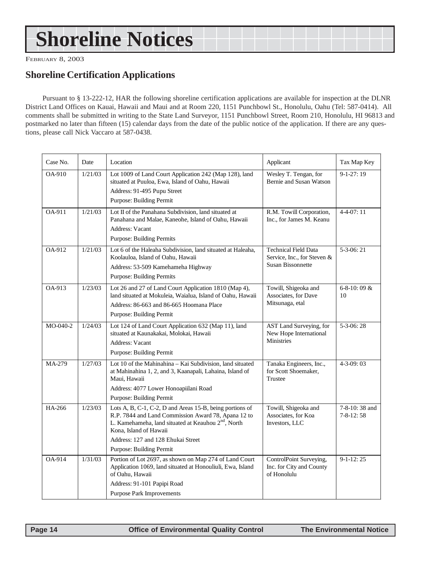## <span id="page-13-0"></span>**Shoreline Notices**

FEBRUARY 8, 2003

### **Shoreline Certification Applications**

Pursuant to § 13-222-12, HAR the following shoreline certification applications are available for inspection at the DLNR District Land Offices on Kauai, Hawaii and Maui and at Room 220, 1151 Punchbowl St., Honolulu, Oahu (Tel: 587-0414). All comments shall be submitted in writing to the State Land Surveyor, 1151 Punchbowl Street, Room 210, Honolulu, HI 96813 and postmarked no later than fifteen (15) calendar days from the date of the public notice of the application. If there are any questions, please call Nick Vaccaro at 587-0438.

| Case No. | Date    | Location                                                                                                                                                                                                                                                                              | Applicant                                                                              | Tax Map Key                      |
|----------|---------|---------------------------------------------------------------------------------------------------------------------------------------------------------------------------------------------------------------------------------------------------------------------------------------|----------------------------------------------------------------------------------------|----------------------------------|
| OA-910   | 1/21/03 | Lot 1009 of Land Court Application 242 (Map 128), land<br>situated at Puuloa, Ewa, Island of Oahu, Hawaii<br>Address: 91-495 Pupu Street<br>Purpose: Building Permit                                                                                                                  | Wesley T. Tengan, for<br>Bernie and Susan Watson                                       | $9-1-27:19$                      |
| OA-911   | 1/21/03 | Lot II of the Panahana Subdivision, land situated at<br>Panahana and Malae, Kaneohe, Island of Oahu, Hawaii<br><b>Address: Vacant</b><br><b>Purpose: Building Permits</b>                                                                                                             | R.M. Towill Corporation,<br>Inc., for James M. Keanu                                   | $4 - 4 - 07:11$                  |
| OA-912   | 1/21/03 | Lot 6 of the Haleaha Subdivision, land situated at Haleaha,<br>Koolauloa, Island of Oahu, Hawaii<br>Address: 53-509 Kamehameha Highway<br><b>Purpose: Building Permits</b>                                                                                                            | <b>Technical Field Data</b><br>Service, Inc., for Steven &<br><b>Susan Bissonnette</b> | $5-3-06:21$                      |
| OA-913   | 1/23/03 | Lot 26 and 27 of Land Court Application 1810 (Map 4),<br>land situated at Mokuleia, Waialua, Island of Oahu, Hawaii<br>Address: 86-663 and 86-665 Hoomana Place<br>Purpose: Building Permit                                                                                           | Towill, Shigeoka and<br>Associates, for Dave<br>Mitsunaga, etal                        | $6 - 8 - 10$ : 09 &<br>10        |
| MO-040-2 | 1/24/03 | Lot 124 of Land Court Application 632 (Map 11), land<br>situated at Kaunakakai, Molokai, Hawaii<br><b>Address: Vacant</b><br>Purpose: Building Permit                                                                                                                                 | AST Land Surveying, for<br>New Hope International<br><b>Ministries</b>                 | $5-3-06:28$                      |
| MA-279   | 1/27/03 | Lot 10 of the Mahinahina - Kai Subdivision, land situated<br>at Mahinahina 1, 2, and 3, Kaanapali, Lahaina, Island of<br>Maui, Hawaii<br>Address: 4077 Lower Honoapiilani Road<br>Purpose: Building Permit                                                                            | Tanaka Engineers, Inc.,<br>for Scott Shoemaker,<br>Trustee                             | $4 - 3 - 09:03$                  |
| HA-266   | 1/23/03 | Lots A, B, C-1, C-2, D and Areas 15-B, being portions of<br>R.P. 7844 and Land Commission Award 78, Apana 12 to<br>L. Kamehameha, land situated at Keauhou 2 <sup>nd</sup> , North<br>Kona, Island of Hawaii<br>Address: 127 and 128 Ehukai Street<br><b>Purpose: Building Permit</b> | Towill, Shigeoka and<br>Associates, for Koa<br>Investors, LLC                          | 7-8-10:38 and<br>$7 - 8 - 12:58$ |
| OA-914   | 1/31/03 | Portion of Lot 2697, as shown on Map 274 of Land Court<br>Application 1069, land situated at Honouliuli, Ewa, Island<br>of Oahu, Hawaii<br>Address: 91-101 Papipi Road<br>Purpose Park Improvements                                                                                   | ControlPoint Surveying,<br>Inc. for City and County<br>of Honolulu                     | $9-1-12:25$                      |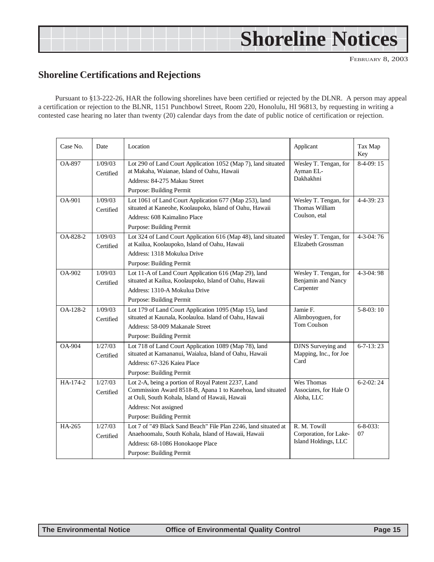## <span id="page-14-0"></span>**Shoreline Notices**

FEBRUARY 8, 2003

### **Shoreline Certifications and Rejections**

Pursuant to §13-222-26, HAR the following shorelines have been certified or rejected by the DLNR. A person may appeal a certification or rejection to the BLNR, 1151 Punchbowl Street, Room 220, Honolulu, HI 96813, by requesting in writing a contested case hearing no later than twenty (20) calendar days from the date of public notice of certification or rejection.

| Case No. | Date                 | Location                                                                                                                                                                                                                         | Applicant                                                      | Tax Map<br>Key        |
|----------|----------------------|----------------------------------------------------------------------------------------------------------------------------------------------------------------------------------------------------------------------------------|----------------------------------------------------------------|-----------------------|
| OA-897   | 1/09/03<br>Certified | Lot 290 of Land Court Application 1052 (Map 7), land situated<br>at Makaha, Waianae, Island of Oahu, Hawaii<br>Address: 84-275 Makau Street<br><b>Purpose: Building Permit</b>                                                   | Wesley T. Tengan, for<br>Ayman EL-<br>Dakhakhni                | $8-4-09:15$           |
| OA-901   | 1/09/03<br>Certified | Lot 1061 of Land Court Application 677 (Map 253), land<br>situated at Kaneohe, Koolaupoko, Island of Oahu, Hawaii<br>Address: 608 Kaimalino Place<br>Purpose: Building Permit                                                    | Wesley T. Tengan, for<br>Thomas William<br>Coulson, etal       | $4 - 4 - 39:23$       |
| OA-828-2 | 1/09/03<br>Certified | Lot 324 of Land Court Application 616 (Map 48), land situated<br>at Kailua, Koolaupoko, Island of Oahu, Hawaii<br>Address: 1318 Mokulua Drive<br>Purpose: Building Permit                                                        | Wesley T. Tengan, for<br>Elizabeth Grossman                    | $4-3-04:76$           |
| OA-902   | 1/09/03<br>Certified | Lot 11-A of Land Court Application 616 (Map 29), land<br>situated at Kailua, Koolaupoko, Island of Oahu, Hawaii<br>Address: 1310-A Mokulua Drive<br>Purpose: Building Permit                                                     | Wesley T. Tengan, for<br>Benjamin and Nancy<br>Carpenter       | $4 - 3 - 04$ : 98     |
| OA-128-2 | 1/09/03<br>Certified | Lot 179 of Land Court Application 1095 (Map 15), land<br>situated at Kaunala, Koolauloa. Island of Oahu, Hawaii<br>Address: 58-009 Makanale Street<br>Purpose: Building Permit                                                   | Jamie F.<br>Alimboyoguen, for<br>Tom Coulson                   | $5 - 8 - 03$ : 10     |
| $OA-904$ | 1/27/03<br>Certified | Lot 718 of Land Court Application 1089 (Map 78), land<br>situated at Kamananui, Waialua, Island of Oahu, Hawaii<br>Address: 67-326 Kaiea Place<br>Purpose: Building Permit                                                       | DJNS Surveying and<br>Mapping, Inc., for Joe<br>Card           | $6 - 7 - 13$ : 23     |
| HA-174-2 | 1/27/03<br>Certified | Lot 2-A, being a portion of Royal Patent 2237, Land<br>Commission Award 8518-B, Apana 1 to Kanehoa, land situated<br>at Ouli, South Kohala, Island of Hawaii, Hawaii<br>Address: Not assigned<br><b>Purpose: Building Permit</b> | Wes Thomas<br>Associates, for Hale O<br>Aloha, LLC             | $6 - 2 - 02$ : 24     |
| HA-265   | 1/27/03<br>Certified | Lot 7 of "49 Black Sand Beach" File Plan 2246, land situated at<br>Anaehoomalu, South Kohala, Island of Hawaii, Hawaii<br>Address: 68-1086 Honokaope Place<br>Purpose: Building Permit                                           | R. M. Towill<br>Corporation, for Lake-<br>Island Holdings, LLC | $6 - 8 - 033$ :<br>07 |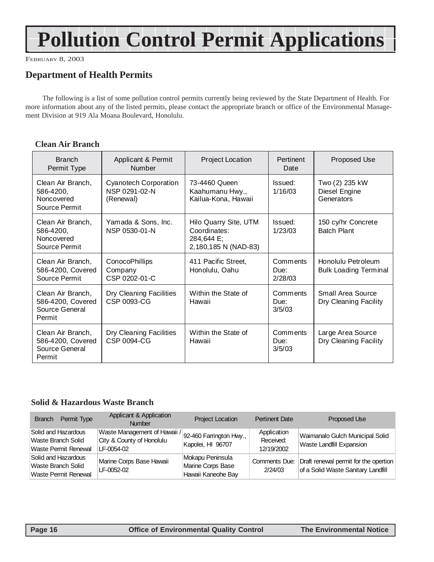## **Pollution Control Permit Applications**

FEBRUARY 8, 2003

## **Department of Health Permits**

The following is a list of some pollution control permits currently being reviewed by the State Department of Health. For more information about any of the listed permits, please contact the appropriate branch or office of the Environmental Management Division at 919 Ala Moana Boulevard, Honolulu.

### **Clean Air Branch**

| <b>Branch</b><br>Permit Type                                       | Applicant & Permit<br><b>Number</b>                        | Project Location                                                            | Pertinent<br>Date           | Proposed Use                                       |
|--------------------------------------------------------------------|------------------------------------------------------------|-----------------------------------------------------------------------------|-----------------------------|----------------------------------------------------|
| Clean Air Branch,<br>586-4200,<br>Noncovered<br>Source Permit      | <b>Cyanotech Corporation</b><br>NSP 0291-02-N<br>(Renewal) | 73-4460 Queen<br>Kaahumanu Hwy.,<br>Kailua-Kona, Hawaii                     | Issued:<br>1/16/03          | Two (2) 235 kW<br>Diesel Engine<br>Generators      |
| Clean Air Branch,<br>586-4200,<br>Noncovered<br>Source Permit      | Yamada & Sons, Inc.<br>NSP 0530-01-N                       | Hilo Quarry Site, UTM<br>Coordinates:<br>284,644 E;<br>2,180,185 N (NAD-83) | Issued:<br>1/23/03          | 150 cy/hr Concrete<br><b>Batch Plant</b>           |
| Clean Air Branch,<br>586-4200, Covered<br>Source Permit            | <b>ConocoPhillips</b><br>Company<br>CSP 0202-01-C          | 411 Pacific Street,<br>Honolulu, Oahu                                       | Comments<br>Due:<br>2/28/03 | Honolulu Petroleum<br><b>Bulk Loading Terminal</b> |
| Clean Air Branch,<br>586-4200, Covered<br>Source General<br>Permit | Dry Cleaning Facilities<br>CSP 0093-CG                     | Within the State of<br>Hawaii                                               | Comments<br>Due:<br>3/5/03  | Small Area Source<br>Dry Cleaning Facility         |
| Clean Air Branch,<br>586-4200, Covered<br>Source General<br>Permit | Dry Cleaning Facilities<br>CSP 0094-CG                     | Within the State of<br>Hawaii                                               | Comments<br>Due:<br>3/5/03  | Large Area Source<br>Dry Cleaning Facility         |

### **Solid & Hazardous Waste Branch**

| Permit Type<br><b>Branch</b>                                             | Applicant & Application<br><b>Number</b>                                | <b>Project Location</b>                                     | <b>Pertinent Date</b>                  | Proposed Use                                                                |
|--------------------------------------------------------------------------|-------------------------------------------------------------------------|-------------------------------------------------------------|----------------------------------------|-----------------------------------------------------------------------------|
| Solid and Hazardous<br>Waste Branch Solid<br>Waste Permit Renewal        | Waste Management of Hawaii /<br>City & County of Honolulu<br>LF-0054-02 | 92-460 Farrington Hwy.,<br>Kapolei, HI 96707                | Application<br>Received:<br>12/19/2002 | Waimanalo Gulch Municipal Solid<br>Waste Landfill Expansion                 |
| Solid and Hazardous<br>Waste Branch Solid<br><b>Waste Permit Renewal</b> | Marine Corps Base Hawaii<br>LF-0052-02                                  | Mokapu Peninsula<br>Marine Corps Base<br>Hawaii Kaneohe Bay | Comments Due:<br>2/24/03               | Draft renewal permit for the opertion<br>of a Solid Waste Sanitary Landfill |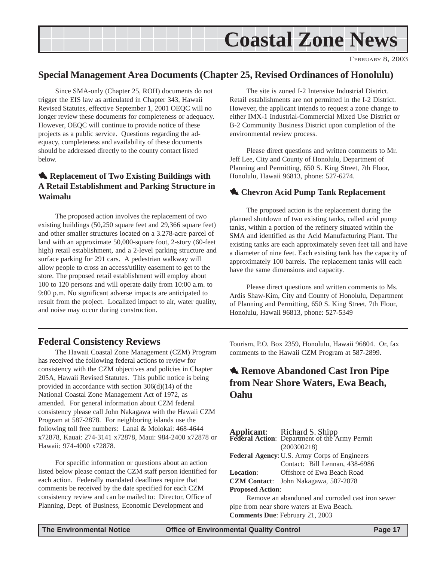<span id="page-16-0"></span>

### **Special Management Area Documents (Chapter 25, Revised Ordinances of Honolulu)**

Since SMA-only (Chapter 25, ROH) documents do not trigger the EIS law as articulated in Chapter 343, Hawaii Revised Statutes, effective September 1, 2001 OEQC will no longer review these documents for completeness or adequacy. However, OEQC will continue to provide notice of these projects as a public service. Questions regarding the adequacy, completeness and availability of these documents should be addressed directly to the county contact listed below.

### **1. Replacement of Two Existing Buildings with A Retail Establishment and Parking Structure in Waimalu**

The proposed action involves the replacement of two existing buildings (50,250 square feet and 29,366 square feet) and other smaller structures located on a 3.278-acre parcel of land with an approximate 50,000-square foot, 2-story (60-feet high) retail establishment, and a 2-level parking structure and surface parking for 291 cars. A pedestrian walkway will allow people to cross an access/utility easement to get to the store. The proposed retail establishment will employ about 100 to 120 persons and will operate daily from 10:00 a.m. to 9:00 p.m. No significant adverse impacts are anticipated to result from the project. Localized impact to air, water quality, and noise may occur during construction.

The site is zoned I-2 Intensive Industrial District. Retail establishments are not permitted in the I-2 District. However, the applicant intends to request a zone change to either IMX-1 Industrial-Commercial Mixed Use District or B-2 Community Business District upon completion of the environmental review process.

Please direct questions and written comments to Mr. Jeff Lee, City and County of Honolulu, Department of Planning and Permitting, 650 S. King Street, 7th Floor, Honolulu, Hawaii 96813, phone: 527-6274.

### **1.** Chevron Acid Pump Tank Replacement

The proposed action is the replacement during the planned shutdown of two existing tanks, called acid pump tanks, within a portion of the refinery situated within the SMA and identified as the Acid Manufacturing Plant. The existing tanks are each approximately seven feet tall and have a diameter of nine feet. Each existing tank has the capacity of approximately 100 barrels. The replacement tanks will each have the same dimensions and capacity.

Please direct questions and written comments to Ms. Ardis Shaw-Kim, City and County of Honolulu, Department of Planning and Permitting, 650 S. King Street, 7th Floor, Honolulu, Hawaii 96813, phone: 527-5349

### **Federal Consistency Reviews**

The Hawaii Coastal Zone Management (CZM) Program has received the following federal actions to review for consistency with the CZM objectives and policies in Chapter 205A, Hawaii Revised Statutes. This public notice is being provided in accordance with section 306(d)(14) of the National Coastal Zone Management Act of 1972, as amended. For general information about CZM federal consistency please call John Nakagawa with the Hawaii CZM Program at 587-2878. For neighboring islands use the following toll free numbers: Lanai & Molokai: 468-4644 x72878, Kauai: 274-3141 x72878, Maui: 984-2400 x72878 or Hawaii: 974-4000 x72878.

For specific information or questions about an action listed below please contact the CZM staff person identified for each action. Federally mandated deadlines require that comments be received by the date specified for each CZM consistency review and can be mailed to: Director, Office of Planning, Dept. of Business, Economic Development and

Tourism, P.O. Box 2359, Honolulu, Hawaii 96804. Or, fax comments to the Hawaii CZM Program at 587-2899.

## **4. Remove Abandoned Cast Iron Pipe from Near Shore Waters, Ewa Beach, Oahu**

|                                                     | <b>Applicant:</b> Richard S. Shipp<br><b>Federal Action:</b> Department of the Army Permit<br>(200300218) |  |  |  |
|-----------------------------------------------------|-----------------------------------------------------------------------------------------------------------|--|--|--|
| <b>Federal Agency: U.S. Army Corps of Engineers</b> |                                                                                                           |  |  |  |
|                                                     | Contact: Bill Lennan, 438-6986                                                                            |  |  |  |
| <b>Location:</b>                                    | Offshore of Ewa Beach Road                                                                                |  |  |  |
|                                                     | CZM Contact: John Nakagawa, 587-2878                                                                      |  |  |  |
| <b>Proposed Action:</b>                             |                                                                                                           |  |  |  |
| Remove an abandoned and corroded cast iron sewer    |                                                                                                           |  |  |  |
| pipe from near shore waters at Ewa Beach.           |                                                                                                           |  |  |  |

**Comments Due**: February 21, 2003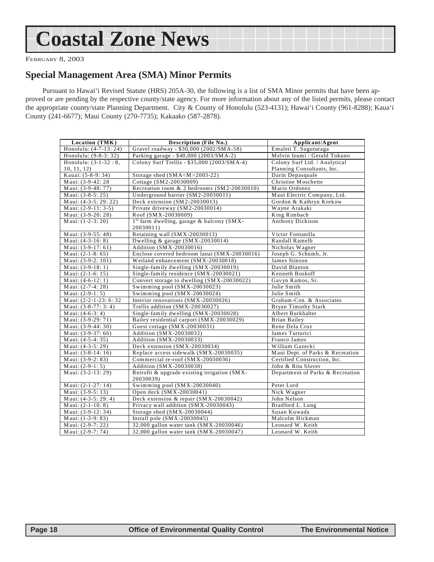## <span id="page-17-0"></span>**Coastal Zone News**

FEBRUARY 8, 2003

### **Special Management Area (SMA) Minor Permits**

Pursuant to Hawai'i Revised Statute (HRS) 205A-30, the following is a list of SMA Minor permits that have been approved or are pending by the respective county/state agency. For more information about any of the listed permits, please contact the appropriate county/state Planning Department. City & County of Honolulu (523-4131); Hawai'i County (961-8288); Kaua'i County (241-6677); Maui County (270-7735); Kakaako (587-2878).

| Location (TMK)         | <b>Description (File No.)</b>                                      | Applicant/Agent                  |  |
|------------------------|--------------------------------------------------------------------|----------------------------------|--|
| Honolulu: (4-7-13: 24) | Gravel roadway - \$30,000 (2002/SMA-58)                            | Emaleti T. Suguturaga            |  |
| Honolulu: (9-8-3: 32)  | Parking garage - \$40,000 (2003/SMA-2)                             | Melvin Izumi / Gerald Tokuno     |  |
| Honolulu: $(3-1-32:8,$ | Colony Surf Trellis - \$35,000 (2003/SMA-4)                        | Colony Surf Ltd. / Analytical    |  |
| 10, 11, 12)            |                                                                    | Planning Consultants, Inc.       |  |
| Kauai: (5-8-9: 34)     | Storage shed $(SMA < M > 2003-22)$                                 | Darin Depasquale                 |  |
| Maui: (3-9-42: 28      | Cottage (SM2-20030009)                                             | Christine Moschette              |  |
| Maui: (3-9-48: 77)     | Recreation room & 2 bedrooms (SM2-20030010)                        | Mario Ordonez                    |  |
| Maui: (3-8-5: 25)      | Underground barrier (SM2-20030011)                                 | Maui Electric Company, Ltd.      |  |
| Maui: (4-3-5: 29: 22)  | Deck extension (SM2-20030013)                                      | Gordon & Kathryn Krekow          |  |
| Maui: $(2-9-11:3-5)$   | Private driveway (SM2-20030014)                                    | Wayne Arakaki                    |  |
| Maui: (3-9-20: 28)     | Roof (SMX-20030009)                                                | King Rimbach                     |  |
| Maui: (1-2-3: 20)      | 1 <sup>st</sup> farm dwelling, garage & balcony (SMX-<br>20030011) | Anthony Dickison                 |  |
| Maui: (3-9-55: 48)     | Retaining wall (SMX-20030013)                                      | Victor Fontanilla                |  |
| Maui: $(4-3-16:8)$     | Dwelling & garage $(SMX - 20030014)$                               | Randall Ramelb                   |  |
| Maui: (3-9-17: 61)     | Addition (SMX-20030016)                                            | Nicholas Wagner                  |  |
| Maui: $(2-1-8: 65)$    | Enclose covered bedroom lanai (SMX-20030016)                       | Joseph G. Schumb, Jr.            |  |
| Maui: (3-9-2: 101)     | Wetland enhancement (SMX-20030018)                                 | James Stinson                    |  |
| Maui: $(3-9-18:1)$     | Single-family dwelling (SMX-20030019)                              | David Blanton                    |  |
| Maui: $(2-1-6:15)$     | Single-family residence (SMX-20030021)                             | Kenneth Boskoff                  |  |
| Maui: $(4-6-12:1)$     | Convert storage to dwelling (SMX-20030022)                         | Gavyn Ramos, Sr.                 |  |
| Maui: $(2-7-4:28)$     | Swimming pool (SMX-20030023)                                       | Julie Smith                      |  |
| Maui: $(2-9-1:5)$      | Swimming pool (SMX-20030024)                                       | Julie Smith                      |  |
| Maui: (2-2-1-23: 6:32  | Interior renovations (SMX-20030026)                                | Graham-Con. & Associates         |  |
| Maui: (3-8-77: 3: 4)   | Trellis addition (SMX-20030027)                                    | <b>Bryan Timothy Stark</b>       |  |
| Maui: $(4-6-3:4)$      | Single-family dwelling (SMX-20030028)                              | Albert Burkhalter                |  |
| Maui: (3-9-29: 71)     | Bailey residential carport (SMX-20030029)                          | <b>Brian Bailey</b>              |  |
| Maui: $(3-9-44:30)$    | Guest cottage (SMX-20030031)                                       | Rene Dela Cruz                   |  |
| Maui: (3-9-37: 66)     | Addition (SMX-20030032)                                            | James Turturici                  |  |
| Maui: (4-5-4: 35)      | Addition (SMX-20030033)                                            | Franco James                     |  |
| Maui: (4-3-5: 29)      | Deck extension (SMX-20030034)                                      | William Gazecki                  |  |
| Maui: $(3-8-14:16)$    | Replace access sidewalk (SMX-20030035)                             | Maui Dept. of Parks & Recreation |  |
| Maui: (3-9-2: 83)      | Commercial re-roof (SMX-20030036)                                  | Certified Construction, Inc.     |  |
| Maui: $(2-9-1:5)$      | Addition (SMX-20030038)                                            | John & Rita Slover               |  |
| Maui: (3-2-13: 29)     | Retrofit & upgrade existing irrigation (SMX-<br>20030039)          | Department of Parks & Recreation |  |
| Maui: $(2-1-27:14)$    | Swimming pool (SMX-20030040)                                       | Peter Lord                       |  |
| Maui: (3-9-5: 13)      | Open deck (SMX-20030041)                                           | Nick Wagner                      |  |
| Maui: (4-3-5: 29: 4)   | Deck extension & repair (SMX-20030042)                             | John Nelson                      |  |
| Maui: $(2-1-10: 8)$    | Privacy wall addition (SMX-20030043)                               | Bradford L. Lung                 |  |
| Maui: (3-9-12: 34)     | Storage shed (SMX-20030044)                                        | Susan Kuwada                     |  |
| Maui: (1-3-9: 83)      | Install pole $(SMX-20030045)$                                      | Malcolm Hickman                  |  |
| Maui: (2-9-7: 22)      | 32,000 gallon water tank (SMX-20030046)                            | Leonard W. Keith                 |  |
| Maui: (2-9-7: 74)      | 32,000 gallon water tank (SMX-20030047)                            | Leonard W. Keith                 |  |